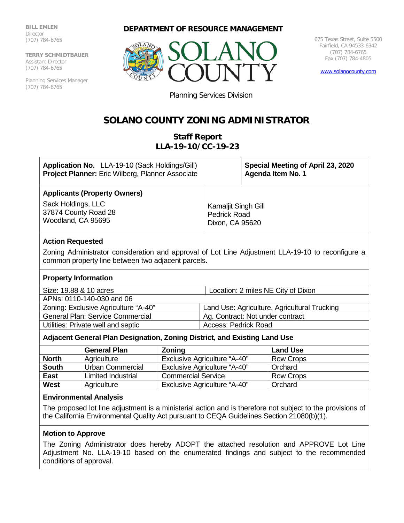**BILL EMLEN** Director (707) 784-6765

**TERRY SCHMIDTBAUER** Assistant Director (707) 784-6765

Planning Services Manager (707) 784-6765

# **DEPARTMENT OF RESOURCE MANAGEMENT**



675 Texas Street, Suite 5500 Fairfield, CA 94533-6342 (707) 784-6765 Fax (707) 784-4805

[www.solanocounty.com](http://www.solanocounty.com/)

Planning Services Division

# **SOLANO COUNTY ZONING ADMINISTRATOR**

# **Staff Report LLA-19-10/CC-19-23**

| Application No. LLA-19-10 (Sack Holdings/Gill)<br><b>Project Planner:</b> Eric Wilberg, Planner Associate                                               |                                                               | Special Meeting of April 23, 2020<br>Agenda Item No. 1 |  |  |
|---------------------------------------------------------------------------------------------------------------------------------------------------------|---------------------------------------------------------------|--------------------------------------------------------|--|--|
| <b>Applicants (Property Owners)</b>                                                                                                                     |                                                               |                                                        |  |  |
| Sack Holdings, LLC<br>37874 County Road 28<br>Woodland, CA 95695                                                                                        | Kamaljit Singh Gill<br><b>Pedrick Road</b><br>Dixon, CA 95620 |                                                        |  |  |
| <b>Action Requested</b>                                                                                                                                 |                                                               |                                                        |  |  |
| Zoning Administrator consideration and approval of Lot Line Adjustment LLA-19-10 to reconfigure a<br>common property line between two adjacent parcels. |                                                               |                                                        |  |  |
| <b>Property Information</b>                                                                                                                             |                                                               |                                                        |  |  |
| Size: 19.88 & 10 acres                                                                                                                                  | Location: 2 miles NE City of Dixon                            |                                                        |  |  |
| APNs: 0110-140-030 and 06                                                                                                                               |                                                               |                                                        |  |  |
| Zoning: Exclusive Agriculture "A-40"                                                                                                                    | Land Use: Agriculture, Agricultural Trucking                  |                                                        |  |  |
| <b>General Plan: Service Commercial</b>                                                                                                                 | Ag. Contract: Not under contract                              |                                                        |  |  |
| Utilities: Private well and septic                                                                                                                      | Access: Pedrick Road                                          |                                                        |  |  |
| Adjacent General Plan Designation, Zoning District, and Existing Land Use                                                                               |                                                               |                                                        |  |  |

|              | <b>General Plan</b>       | <b>Zoning</b>                       | <b>Land Use</b>  |
|--------------|---------------------------|-------------------------------------|------------------|
| <b>North</b> | Agriculture               | <b>Exclusive Agriculture "A-40"</b> | Row Crops        |
| <b>South</b> | Urban Commercial          | <b>Exclusive Agriculture "A-40"</b> | Orchard          |
| <b>East</b>  | <b>Limited Industrial</b> | <b>Commercial Service</b>           | <b>Row Crops</b> |
| West         | Agriculture               | <b>Exclusive Agriculture "A-40"</b> | Orchard          |

#### **Environmental Analysis**

The proposed lot line adjustment is a ministerial action and is therefore not subject to the provisions of the California Environmental Quality Act pursuant to CEQA Guidelines Section 21080(b)(1).

# **Motion to Approve**

The Zoning Administrator does hereby ADOPT the attached resolution and APPROVE Lot Line Adjustment No. LLA-19-10 based on the enumerated findings and subject to the recommended conditions of approval.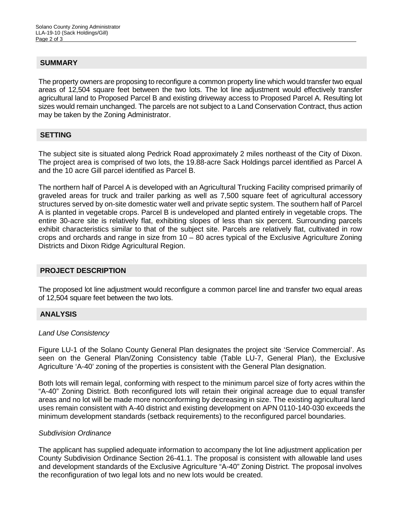#### **SUMMARY**

The property owners are proposing to reconfigure a common property line which would transfer two equal areas of 12,504 square feet between the two lots. The lot line adjustment would effectively transfer agricultural land to Proposed Parcel B and existing driveway access to Proposed Parcel A. Resulting lot sizes would remain unchanged. The parcels are not subject to a Land Conservation Contract, thus action may be taken by the Zoning Administrator.

#### **SETTING**

The subject site is situated along Pedrick Road approximately 2 miles northeast of the City of Dixon. The project area is comprised of two lots, the 19.88-acre Sack Holdings parcel identified as Parcel A and the 10 acre Gill parcel identified as Parcel B.

The northern half of Parcel A is developed with an Agricultural Trucking Facility comprised primarily of graveled areas for truck and trailer parking as well as 7,500 square feet of agricultural accessory structures served by on-site domestic water well and private septic system. The southern half of Parcel A is planted in vegetable crops. Parcel B is undeveloped and planted entirely in vegetable crops. The entire 30-acre site is relatively flat, exhibiting slopes of less than six percent. Surrounding parcels exhibit characteristics similar to that of the subject site. Parcels are relatively flat, cultivated in row crops and orchards and range in size from 10 – 80 acres typical of the Exclusive Agriculture Zoning Districts and Dixon Ridge Agricultural Region.

# **PROJECT DESCRIPTION**

The proposed lot line adjustment would reconfigure a common parcel line and transfer two equal areas of 12,504 square feet between the two lots.

# **ANALYSIS**

#### *Land Use Consistency*

Figure LU-1 of the Solano County General Plan designates the project site 'Service Commercial'. As seen on the General Plan/Zoning Consistency table (Table LU-7, General Plan), the Exclusive Agriculture 'A-40' zoning of the properties is consistent with the General Plan designation.

Both lots will remain legal, conforming with respect to the minimum parcel size of forty acres within the "A-40" Zoning District. Both reconfigured lots will retain their original acreage due to equal transfer areas and no lot will be made more nonconforming by decreasing in size. The existing agricultural land uses remain consistent with A-40 district and existing development on APN 0110-140-030 exceeds the minimum development standards (setback requirements) to the reconfigured parcel boundaries.

#### *Subdivision Ordinance*

The applicant has supplied adequate information to accompany the lot line adjustment application per County Subdivision Ordinance Section 26-41.1. The proposal is consistent with allowable land uses and development standards of the Exclusive Agriculture "A-40" Zoning District. The proposal involves the reconfiguration of two legal lots and no new lots would be created.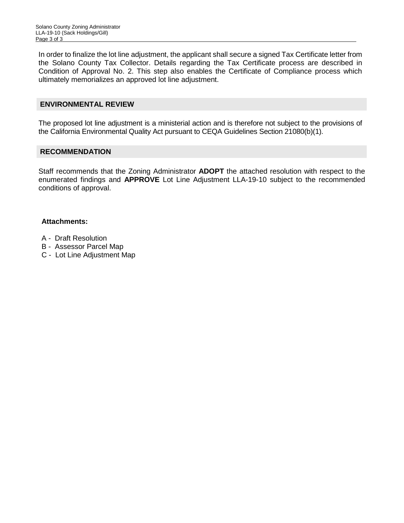In order to finalize the lot line adjustment, the applicant shall secure a signed Tax Certificate letter from the Solano County Tax Collector. Details regarding the Tax Certificate process are described in Condition of Approval No. 2. This step also enables the Certificate of Compliance process which ultimately memorializes an approved lot line adjustment.

#### **ENVIRONMENTAL REVIEW**

The proposed lot line adjustment is a ministerial action and is therefore not subject to the provisions of the California Environmental Quality Act pursuant to CEQA Guidelines Section 21080(b)(1).

#### **RECOMMENDATION**

Staff recommends that the Zoning Administrator **ADOPT** the attached resolution with respect to the enumerated findings and **APPROVE** Lot Line Adjustment LLA-19-10 subject to the recommended conditions of approval.

#### **Attachments:**

- A Draft Resolution
- B Assessor Parcel Map
- C Lot Line Adjustment Map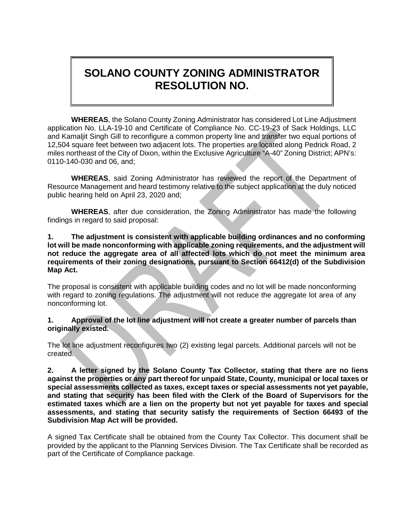# **SOLANO COUNTY ZONING ADMINISTRATOR RESOLUTION NO.**

**WHEREAS**, the Solano County Zoning Administrator has considered Lot Line Adjustment application No. LLA-19-10 and Certificate of Compliance No. CC-19-23 of Sack Holdings, LLC and Kamaljit Singh Gill to reconfigure a common property line and transfer two equal portions of 12,504 square feet between two adjacent lots. The properties are located along Pedrick Road, 2 miles northeast of the City of Dixon, within the Exclusive Agriculture "A-40" Zoning District; APN's: 0110-140-030 and 06, and;

**WHEREAS**, said Zoning Administrator has reviewed the report of the Department of Resource Management and heard testimony relative to the subject application at the duly noticed public hearing held on April 23, 2020 and;

**WHEREAS**, after due consideration, the Zoning Administrator has made the following findings in regard to said proposal:

#### **1. The adjustment is consistent with applicable building ordinances and no conforming lot will be made nonconforming with applicable zoning requirements, and the adjustment will not reduce the aggregate area of all affected lots which do not meet the minimum area requirements of their zoning designations, pursuant to Section 66412(d) of the Subdivision Map Act.**

The proposal is consistent with applicable building codes and no lot will be made nonconforming with regard to zoning regulations. The adjustment will not reduce the aggregate lot area of any nonconforming lot.

# **1. Approval of the lot line adjustment will not create a greater number of parcels than originally existed.**

The lot line adjustment reconfigures two (2) existing legal parcels. Additional parcels will not be created.

**2. A letter signed by the Solano County Tax Collector, stating that there are no liens against the properties or any part thereof for unpaid State, County, municipal or local taxes or special assessments collected as taxes, except taxes or special assessments not yet payable, and stating that security has been filed with the Clerk of the Board of Supervisors for the estimated taxes which are a lien on the property but not yet payable for taxes and special assessments, and stating that security satisfy the requirements of Section 66493 of the Subdivision Map Act will be provided.** 

A signed Tax Certificate shall be obtained from the County Tax Collector. This document shall be provided by the applicant to the Planning Services Division. The Tax Certificate shall be recorded as part of the Certificate of Compliance package.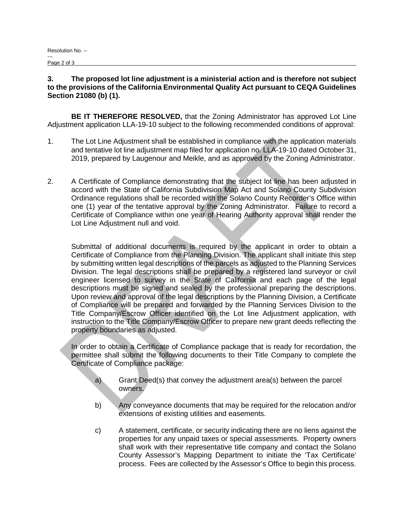#### **3. The proposed lot line adjustment is a ministerial action and is therefore not subject to the provisions of the California Environmental Quality Act pursuant to CEQA Guidelines Section 21080 (b) (1).**

**BE IT THEREFORE RESOLVED,** that the Zoning Administrator has approved Lot Line Adjustment application LLA-19-10 subject to the following recommended conditions of approval:

- 1. The Lot Line Adjustment shall be established in compliance with the application materials and tentative lot line adjustment map filed for application no. LLA-19-10 dated October 31, 2019, prepared by Laugenour and Meikle, and as approved by the Zoning Administrator.
- 2. A Certificate of Compliance demonstrating that the subject lot line has been adjusted in accord with the State of California Subdivision Map Act and Solano County Subdivision Ordinance regulations shall be recorded with the Solano County Recorder's Office within one (1) year of the tentative approval by the Zoning Administrator. Failure to record a Certificate of Compliance within one year of Hearing Authority approval shall render the Lot Line Adjustment null and void.

Submittal of additional documents is required by the applicant in order to obtain a Certificate of Compliance from the Planning Division. The applicant shall initiate this step by submitting written legal descriptions of the parcels as adjusted to the Planning Services Division. The legal descriptions shall be prepared by a registered land surveyor or civil engineer licensed to survey in the State of California and each page of the legal descriptions must be signed and sealed by the professional preparing the descriptions. Upon review and approval of the legal descriptions by the Planning Division, a Certificate of Compliance will be prepared and forwarded by the Planning Services Division to the Title Company/Escrow Officer identified on the Lot line Adjustment application, with instruction to the Title Company/Escrow Officer to prepare new grant deeds reflecting the property boundaries as adjusted.

Í In order to obtain a Certificate of Compliance package that is ready for recordation, the permittee shall submit the following documents to their Title Company to complete the Certificate of Compliance package:

- a) Grant Deed(s) that convey the adjustment area(s) between the parcel owners.
- b) Any conveyance documents that may be required for the relocation and/or extensions of existing utilities and easements.
- c) A statement, certificate, or security indicating there are no liens against the properties for any unpaid taxes or special assessments. Property owners shall work with their representative title company and contact the Solano County Assessor's Mapping Department to initiate the 'Tax Certificate' process. Fees are collected by the Assessor's Office to begin this process.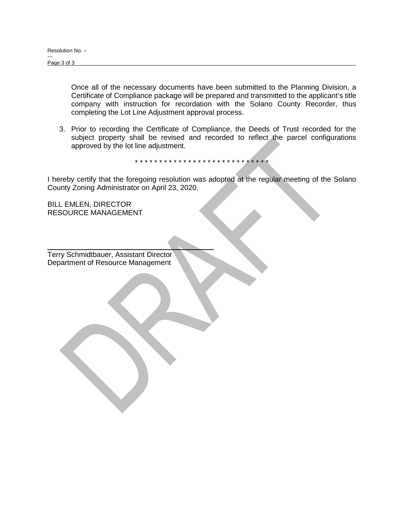Once all of the necessary documents have been submitted to the Planning Division, a Certificate of Compliance package will be prepared and transmitted to the applicant's title company with instruction for recordation with the Solano County Recorder, thus completing the Lot Line Adjustment approval process.

3. Prior to recording the Certificate of Compliance, the Deeds of Trust recorded for the subject property shall be revised and recorded to reflect the parcel configurations approved by the lot line adjustment.

\* \* \* \* \* \* \* \* \* \* \* \* \* \* \* \* \* \* \* \* \* \* \* \* \* \* \* \*

I hereby certify that the foregoing resolution was adopted at the regular meeting of the Solano County Zoning Administrator on April 23, 2020.

BILL EMLEN, DIRECTOR RESOURCE MANAGEMENT

Terry Schmidtbauer, Assistant Director Department of Resource Management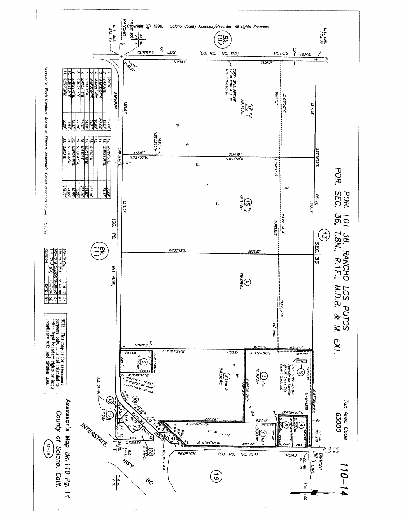